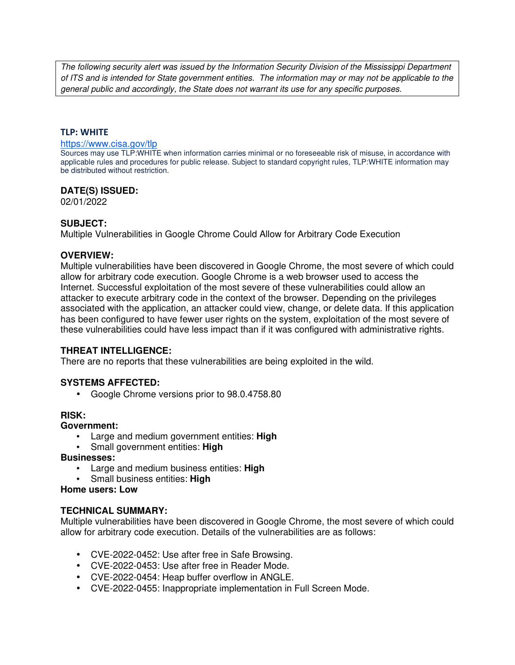The following security alert was issued by the Information Security Division of the Mississippi Department of ITS and is intended for State government entities. The information may or may not be applicable to the general public and accordingly, the State does not warrant its use for any specific purposes.

### **TLP: WHITE**

#### https://www.cisa.gov/tlp

Sources may use TLP:WHITE when information carries minimal or no foreseeable risk of misuse, in accordance with applicable rules and procedures for public release. Subject to standard copyright rules, TLP:WHITE information may be distributed without restriction.

### **DATE(S) ISSUED:**

02/01/2022

## **SUBJECT:**

Multiple Vulnerabilities in Google Chrome Could Allow for Arbitrary Code Execution

### **OVERVIEW:**

Multiple vulnerabilities have been discovered in Google Chrome, the most severe of which could allow for arbitrary code execution. Google Chrome is a web browser used to access the Internet. Successful exploitation of the most severe of these vulnerabilities could allow an attacker to execute arbitrary code in the context of the browser. Depending on the privileges associated with the application, an attacker could view, change, or delete data. If this application has been configured to have fewer user rights on the system, exploitation of the most severe of these vulnerabilities could have less impact than if it was configured with administrative rights.

## **THREAT INTELLIGENCE:**

There are no reports that these vulnerabilities are being exploited in the wild.

## **SYSTEMS AFFECTED:**

• Google Chrome versions prior to 98.0.4758.80

# **RISK:**

### **Government:**

- Large and medium government entities: **High**
- Small government entities: **High**

### **Businesses:**

- Large and medium business entities: **High**
- Small business entities: **High**

## **Home users: Low**

## **TECHNICAL SUMMARY:**

Multiple vulnerabilities have been discovered in Google Chrome, the most severe of which could allow for arbitrary code execution. Details of the vulnerabilities are as follows:

- CVE-2022-0452: Use after free in Safe Browsing.
- CVE-2022-0453: Use after free in Reader Mode.
- CVE-2022-0454: Heap buffer overflow in ANGLE.
- CVE-2022-0455: Inappropriate implementation in Full Screen Mode.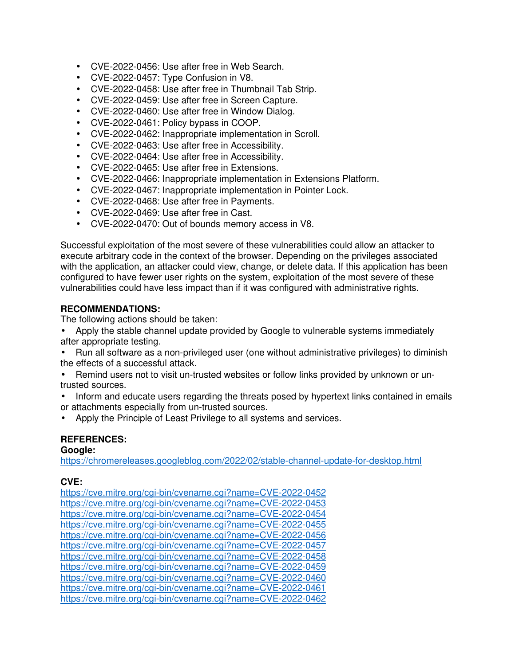- CVE-2022-0456: Use after free in Web Search.
- CVE-2022-0457: Type Confusion in V8.
- CVE-2022-0458: Use after free in Thumbnail Tab Strip.
- CVE-2022-0459: Use after free in Screen Capture.
- CVE-2022-0460: Use after free in Window Dialog.
- CVE-2022-0461: Policy bypass in COOP.
- CVE-2022-0462: Inappropriate implementation in Scroll.
- CVE-2022-0463: Use after free in Accessibility.
- CVE-2022-0464: Use after free in Accessibility.
- CVE-2022-0465: Use after free in Extensions.
- CVE-2022-0466: Inappropriate implementation in Extensions Platform.
- CVE-2022-0467: Inappropriate implementation in Pointer Lock.
- CVE-2022-0468: Use after free in Payments.
- CVE-2022-0469: Use after free in Cast.
- CVE-2022-0470: Out of bounds memory access in V8.

Successful exploitation of the most severe of these vulnerabilities could allow an attacker to execute arbitrary code in the context of the browser. Depending on the privileges associated with the application, an attacker could view, change, or delete data. If this application has been configured to have fewer user rights on the system, exploitation of the most severe of these vulnerabilities could have less impact than if it was configured with administrative rights.

### **RECOMMENDATIONS:**

The following actions should be taken:

- Apply the stable channel update provided by Google to vulnerable systems immediately after appropriate testing.
- Run all software as a non-privileged user (one without administrative privileges) to diminish the effects of a successful attack.
- Remind users not to visit un-trusted websites or follow links provided by unknown or untrusted sources.
- Inform and educate users regarding the threats posed by hypertext links contained in emails or attachments especially from un-trusted sources.
- Apply the Principle of Least Privilege to all systems and services.

## **REFERENCES:**

### **Google:**

https://chromereleases.googleblog.com/2022/02/stable-channel-update-for-desktop.html

### **CVE:**

https://cve.mitre.org/cgi-bin/cvename.cgi?name=CVE-2022-0452 https://cve.mitre.org/cgi-bin/cvename.cgi?name=CVE-2022-0453 https://cve.mitre.org/cgi-bin/cvename.cgi?name=CVE-2022-0454 https://cve.mitre.org/cgi-bin/cvename.cgi?name=CVE-2022-0455 https://cve.mitre.org/cgi-bin/cvename.cgi?name=CVE-2022-0456 https://cve.mitre.org/cgi-bin/cvename.cgi?name=CVE-2022-0457 https://cve.mitre.org/cgi-bin/cvename.cgi?name=CVE-2022-0458 https://cve.mitre.org/cgi-bin/cvename.cgi?name=CVE-2022-0459 https://cve.mitre.org/cgi-bin/cvename.cgi?name=CVE-2022-0460 https://cve.mitre.org/cgi-bin/cvename.cgi?name=CVE-2022-0461 https://cve.mitre.org/cgi-bin/cvename.cgi?name=CVE-2022-0462